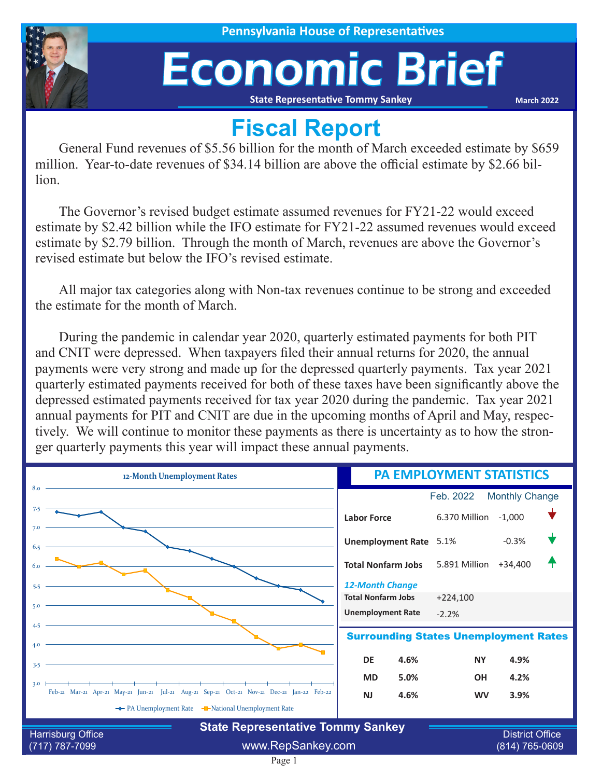

# Economic Brief

**State Representative Tommy Sankey**

**March 2022**

### **Fiscal Report**

General Fund revenues of \$5.56 billion for the month of March exceeded estimate by \$659 million. Year-to-date revenues of \$34.14 billion are above the official estimate by \$2.66 billion.

The Governor's revised budget estimate assumed revenues for FY21-22 would exceed estimate by \$2.42 billion while the IFO estimate for FY21-22 assumed revenues would exceed estimate by \$2.79 billion. Through the month of March, revenues are above the Governor's revised estimate but below the IFO's revised estimate.

All major tax categories along with Non-tax revenues continue to be strong and exceeded the estimate for the month of March.

During the pandemic in calendar year 2020, quarterly estimated payments for both PIT and CNIT were depressed. When taxpayers filed their annual returns for 2020, the annual payments were very strong and made up for the depressed quarterly payments. Tax year 2021 quarterly estimated payments received for both of these taxes have been significantly above the depressed estimated payments received for tax year 2020 during the pandemic. Tax year 2021 annual payments for PIT and CNIT are due in the upcoming months of April and May, respectively. We will continue to monitor these payments as there is uncertainty as to how the stronger quarterly payments this year will impact these annual payments.

| 12-Month Unemployment Rates                                                                       | <b>PA EMPLOYMENT STATISTICS</b>                    |
|---------------------------------------------------------------------------------------------------|----------------------------------------------------|
| 8.0                                                                                               | Feb. 2022<br><b>Monthly Change</b>                 |
| 7.5                                                                                               | 6.370 Million<br>$-1,000$<br><b>Labor Force</b>    |
| 7.0<br>6.5                                                                                        | $-0.3%$<br><b>Unemployment Rate</b> 5.1%           |
|                                                                                                   | 5.891 Million +34,400<br><b>Total Nonfarm Jobs</b> |
| 5.5                                                                                               | <b>12-Month Change</b>                             |
|                                                                                                   | <b>Total Nonfarm Jobs</b><br>$+224,100$            |
| 5.0                                                                                               | <b>Unemployment Rate</b><br>$-2.2%$                |
| 4.5<br>4.0                                                                                        | <b>Surrounding States Unemployment Rates</b>       |
| 3.5                                                                                               | <b>DE</b><br>4.6%<br><b>NY</b><br>4.9%             |
|                                                                                                   | 5.0%<br>4.2%<br><b>MD</b><br><b>OH</b>             |
| 3.0<br>Feb-21 Mar-21 Apr-21 May-21 Jun-21 Jul-21 Aug-21 Sep-21 Oct-21 Nov-21 Dec-21 Jan-22 Feb-22 | <b>NJ</b><br>4.6%<br><b>WV</b><br>3.9%             |
| ← PA Unemployment Rate – National Unemployment Rate                                               |                                                    |
| <b>State Representative Tommy Sankey</b><br>Harrisburg Office                                     | <b>District Office</b>                             |

Page 1